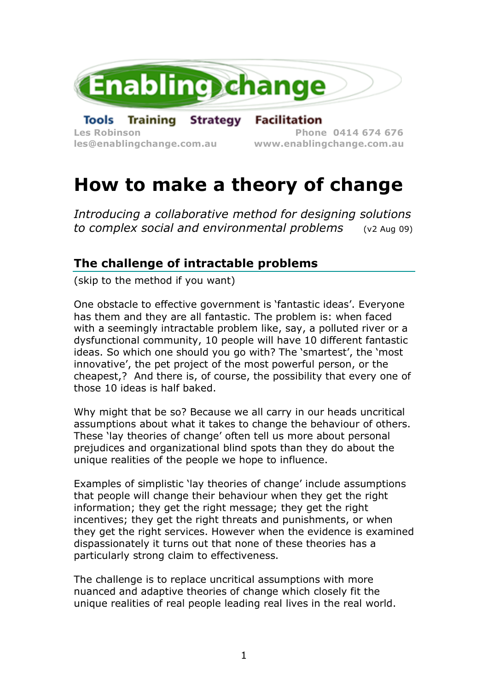

**les@enablingchange.com.au www.enablingchange.com.au**

# **How to make a theory of change**

*Introducing a collaborative method for designing solutions to complex social and environmental problems* (v2 Aug 09)

## **The challenge of intractable problems**

(skip to the method if you want)

One obstacle to effective government is 'fantastic ideas'. Everyone has them and they are all fantastic. The problem is: when faced with a seemingly intractable problem like, say, a polluted river or a dysfunctional community, 10 people will have 10 different fantastic ideas. So which one should you go with? The 'smartest', the 'most innovative', the pet project of the most powerful person, or the cheapest,? And there is, of course, the possibility that every one of those 10 ideas is half baked.

Why might that be so? Because we all carry in our heads uncritical assumptions about what it takes to change the behaviour of others. These 'lay theories of change' often tell us more about personal prejudices and organizational blind spots than they do about the unique realities of the people we hope to influence.

Examples of simplistic 'lay theories of change' include assumptions that people will change their behaviour when they get the right information; they get the right message; they get the right incentives; they get the right threats and punishments, or when they get the right services. However when the evidence is examined dispassionately it turns out that none of these theories has a particularly strong claim to effectiveness.

The challenge is to replace uncritical assumptions with more nuanced and adaptive theories of change which closely fit the unique realities of real people leading real lives in the real world.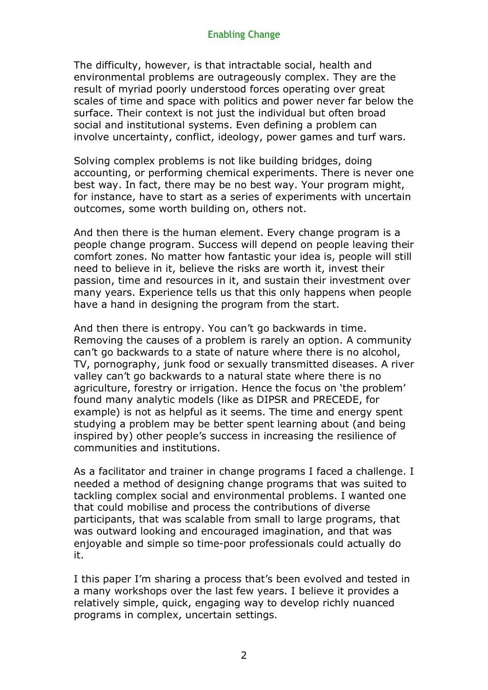The difficulty, however, is that intractable social, health and environmental problems are outrageously complex. They are the result of myriad poorly understood forces operating over great scales of time and space with politics and power never far below the surface. Their context is not just the individual but often broad social and institutional systems. Even defining a problem can involve uncertainty, conflict, ideology, power games and turf wars.

Solving complex problems is not like building bridges, doing accounting, or performing chemical experiments. There is never one best way. In fact, there may be no best way. Your program might, for instance, have to start as a series of experiments with uncertain outcomes, some worth building on, others not.

And then there is the human element. Every change program is a people change program. Success will depend on people leaving their comfort zones. No matter how fantastic your idea is, people will still need to believe in it, believe the risks are worth it, invest their passion, time and resources in it, and sustain their investment over many years. Experience tells us that this only happens when people have a hand in designing the program from the start.

And then there is entropy. You can't go backwards in time. Removing the causes of a problem is rarely an option. A community can't go backwards to a state of nature where there is no alcohol, TV, pornography, junk food or sexually transmitted diseases. A river valley can't go backwards to a natural state where there is no agriculture, forestry or irrigation. Hence the focus on 'the problem' found many analytic models (like as DIPSR and PRECEDE, for example) is not as helpful as it seems. The time and energy spent studying a problem may be better spent learning about (and being inspired by) other people's success in increasing the resilience of communities and institutions.

As a facilitator and trainer in change programs I faced a challenge. I needed a method of designing change programs that was suited to tackling complex social and environmental problems. I wanted one that could mobilise and process the contributions of diverse participants, that was scalable from small to large programs, that was outward looking and encouraged imagination, and that was enjoyable and simple so time-poor professionals could actually do it.

I this paper I'm sharing a process that's been evolved and tested in a many workshops over the last few years. I believe it provides a relatively simple, quick, engaging way to develop richly nuanced programs in complex, uncertain settings.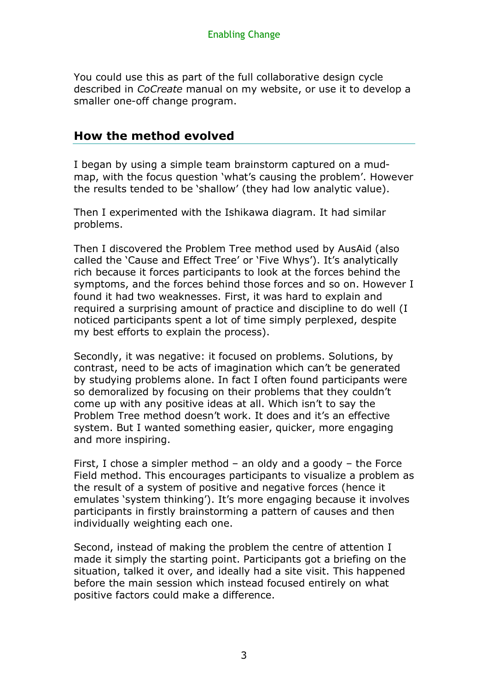You could use this as part of the full collaborative design cycle described in *CoCreate* manual on my website, or use it to develop a smaller one-off change program.

## **How the method evolved**

I began by using a simple team brainstorm captured on a mudmap, with the focus question 'what's causing the problem'. However the results tended to be 'shallow' (they had low analytic value).

Then I experimented with the Ishikawa diagram. It had similar problems.

Then I discovered the Problem Tree method used by AusAid (also called the 'Cause and Effect Tree' or 'Five Whys'). It's analytically rich because it forces participants to look at the forces behind the symptoms, and the forces behind those forces and so on. However I found it had two weaknesses. First, it was hard to explain and required a surprising amount of practice and discipline to do well (I noticed participants spent a lot of time simply perplexed, despite my best efforts to explain the process).

Secondly, it was negative: it focused on problems. Solutions, by contrast, need to be acts of imagination which can't be generated by studying problems alone. In fact I often found participants were so demoralized by focusing on their problems that they couldn't come up with any positive ideas at all. Which isn't to say the Problem Tree method doesn't work. It does and it's an effective system. But I wanted something easier, quicker, more engaging and more inspiring.

First, I chose a simpler method – an oldy and a goody – the Force Field method. This encourages participants to visualize a problem as the result of a system of positive and negative forces (hence it emulates 'system thinking'). It's more engaging because it involves participants in firstly brainstorming a pattern of causes and then individually weighting each one.

Second, instead of making the problem the centre of attention I made it simply the starting point. Participants got a briefing on the situation, talked it over, and ideally had a site visit. This happened before the main session which instead focused entirely on what positive factors could make a difference.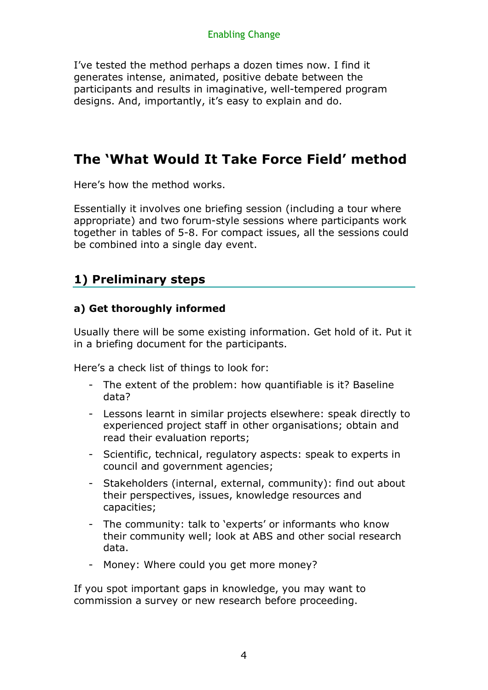I've tested the method perhaps a dozen times now. I find it generates intense, animated, positive debate between the participants and results in imaginative, well-tempered program designs. And, importantly, it's easy to explain and do.

## **The 'What Would It Take Force Field' method**

Here's how the method works.

Essentially it involves one briefing session (including a tour where appropriate) and two forum-style sessions where participants work together in tables of 5-8. For compact issues, all the sessions could be combined into a single day event.

## **1) Preliminary steps**

## **a) Get thoroughly informed**

Usually there will be some existing information. Get hold of it. Put it in a briefing document for the participants.

Here's a check list of things to look for:

- The extent of the problem: how quantifiable is it? Baseline data?
- Lessons learnt in similar projects elsewhere: speak directly to experienced project staff in other organisations; obtain and read their evaluation reports;
- Scientific, technical, regulatory aspects: speak to experts in council and government agencies;
- Stakeholders (internal, external, community): find out about their perspectives, issues, knowledge resources and capacities;
- The community: talk to 'experts' or informants who know their community well; look at ABS and other social research data.
- Money: Where could you get more money?

If you spot important gaps in knowledge, you may want to commission a survey or new research before proceeding.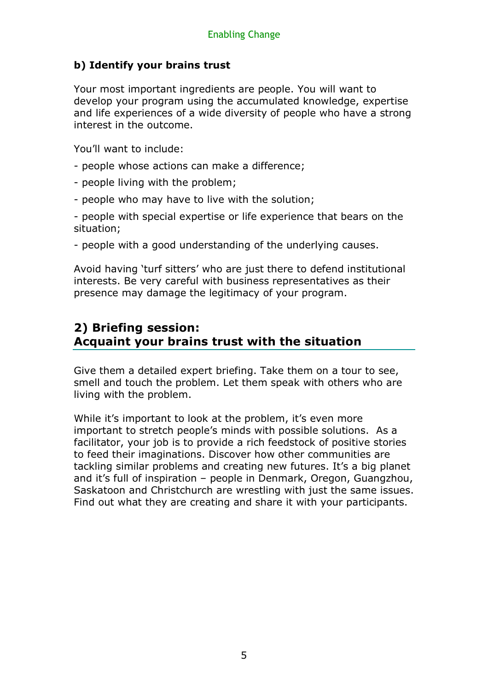## **b) Identify your brains trust**

Your most important ingredients are people. You will want to develop your program using the accumulated knowledge, expertise and life experiences of a wide diversity of people who have a strong interest in the outcome.

You'll want to include:

- people whose actions can make a difference;
- people living with the problem;
- people who may have to live with the solution;

- people with special expertise or life experience that bears on the situation;

- people with a good understanding of the underlying causes.

Avoid having 'turf sitters' who are just there to defend institutional interests. Be very careful with business representatives as their presence may damage the legitimacy of your program.

## **2) Briefing session: Acquaint your brains trust with the situation**

Give them a detailed expert briefing. Take them on a tour to see, smell and touch the problem. Let them speak with others who are living with the problem.

While it's important to look at the problem, it's even more important to stretch people's minds with possible solutions. As a facilitator, your job is to provide a rich feedstock of positive stories to feed their imaginations. Discover how other communities are tackling similar problems and creating new futures. It's a big planet and it's full of inspiration – people in Denmark, Oregon, Guangzhou, Saskatoon and Christchurch are wrestling with just the same issues. Find out what they are creating and share it with your participants.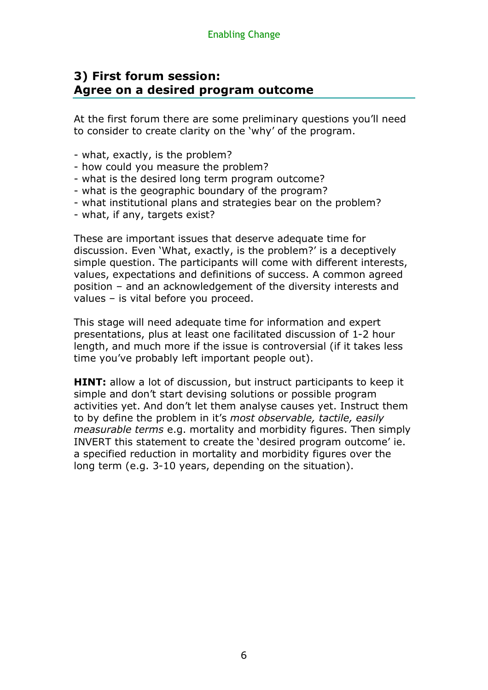## **3) First forum session: Agree on a desired program outcome**

At the first forum there are some preliminary questions you'll need to consider to create clarity on the 'why' of the program.

- what, exactly, is the problem?
- how could you measure the problem?
- what is the desired long term program outcome?
- what is the geographic boundary of the program?
- what institutional plans and strategies bear on the problem?
- what, if any, targets exist?

These are important issues that deserve adequate time for discussion. Even 'What, exactly, is the problem?' is a deceptively simple question. The participants will come with different interests, values, expectations and definitions of success. A common agreed position – and an acknowledgement of the diversity interests and values – is vital before you proceed.

This stage will need adequate time for information and expert presentations, plus at least one facilitated discussion of 1-2 hour length, and much more if the issue is controversial (if it takes less time you've probably left important people out).

**HINT:** allow a lot of discussion, but instruct participants to keep it simple and don't start devising solutions or possible program activities yet. And don't let them analyse causes yet. Instruct them to by define the problem in it's *most observable, tactile, easily measurable terms* e.g. mortality and morbidity figures. Then simply INVERT this statement to create the 'desired program outcome' ie. a specified reduction in mortality and morbidity figures over the long term (e.g. 3-10 years, depending on the situation).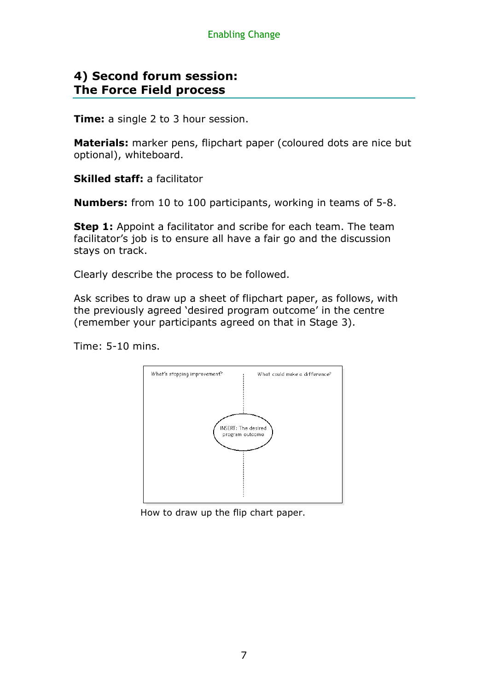## **4) Second forum session: The Force Field process**

**Time:** a single 2 to 3 hour session.

**Materials:** marker pens, flipchart paper (coloured dots are nice but optional), whiteboard.

**Skilled staff:** a facilitator

**Numbers:** from 10 to 100 participants, working in teams of 5-8.

**Step 1:** Appoint a facilitator and scribe for each team. The team facilitator's job is to ensure all have a fair go and the discussion stays on track.

Clearly describe the process to be followed.

Ask scribes to draw up a sheet of flipchart paper, as follows, with the previously agreed 'desired program outcome' in the centre (remember your participants agreed on that in Stage 3).

Time: 5-10 mins.



How to draw up the flip chart paper.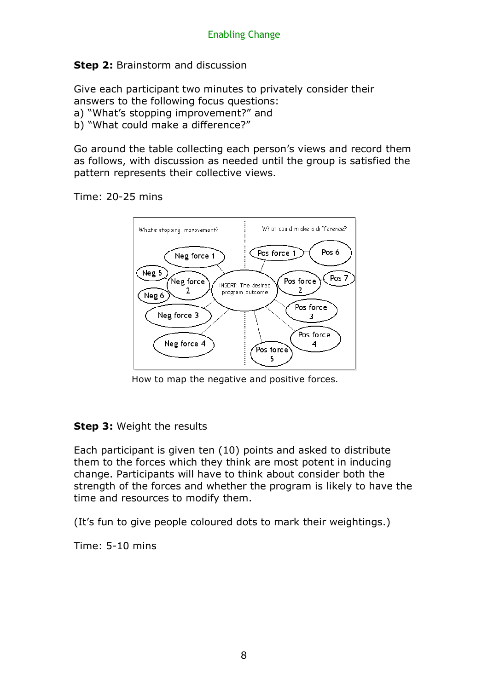## **Step 2: Brainstorm and discussion**

Give each participant two minutes to privately consider their answers to the following focus questions:

- a) "What's stopping improvement?" and
- b) "What could make a difference?"

Go around the table collecting each person's views and record them as follows, with discussion as needed until the group is satisfied the pattern represents their collective views.

#### Time: 20-25 mins



How to map the negative and positive forces.

### **Step 3:** Weight the results

Each participant is given ten (10) points and asked to distribute them to the forces which they think are most potent in inducing change. Participants will have to think about consider both the strength of the forces and whether the program is likely to have the time and resources to modify them.

(It's fun to give people coloured dots to mark their weightings.)

Time: 5-10 mins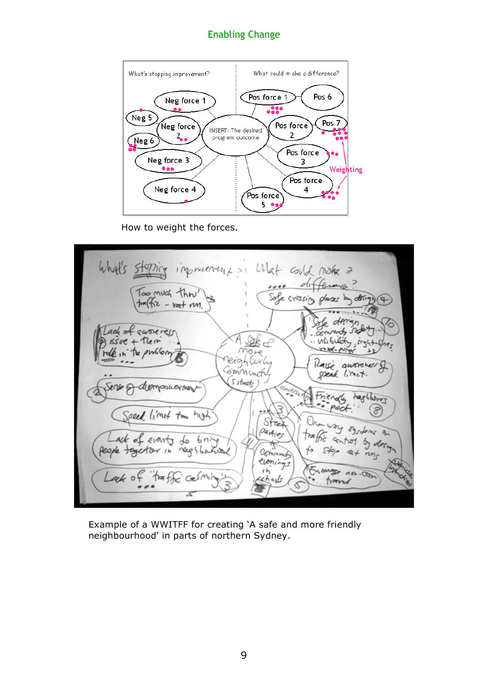

How to weight the forces.



Example of a WWITFF for creating 'A safe and more friendly neighbourhood' in parts of northern Sydney.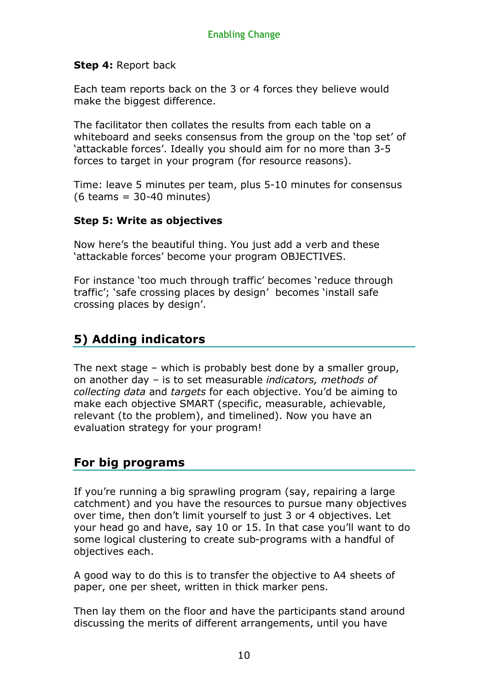## **Step 4:** Report back

Each team reports back on the 3 or 4 forces they believe would make the biggest difference.

The facilitator then collates the results from each table on a whiteboard and seeks consensus from the group on the 'top set' of 'attackable forces'. Ideally you should aim for no more than 3-5 forces to target in your program (for resource reasons).

Time: leave 5 minutes per team, plus 5-10 minutes for consensus  $(6 \text{ teams} = 30-40 \text{ minutes})$ 

### **Step 5: Write as objectives**

Now here's the beautiful thing. You just add a verb and these 'attackable forces' become your program OBJECTIVES.

For instance 'too much through traffic' becomes 'reduce through traffic'; 'safe crossing places by design' becomes 'install safe crossing places by design'.

## **5) Adding indicators**

The next stage – which is probably best done by a smaller group, on another day – is to set measurable *indicators, methods of collecting data* and *targets* for each objective. You'd be aiming to make each objective SMART (specific, measurable, achievable, relevant (to the problem), and timelined). Now you have an evaluation strategy for your program!

## **For big programs**

If you're running a big sprawling program (say, repairing a large catchment) and you have the resources to pursue many objectives over time, then don't limit yourself to just 3 or 4 objectives. Let your head go and have, say 10 or 15. In that case you'll want to do some logical clustering to create sub-programs with a handful of objectives each.

A good way to do this is to transfer the objective to A4 sheets of paper, one per sheet, written in thick marker pens.

Then lay them on the floor and have the participants stand around discussing the merits of different arrangements, until you have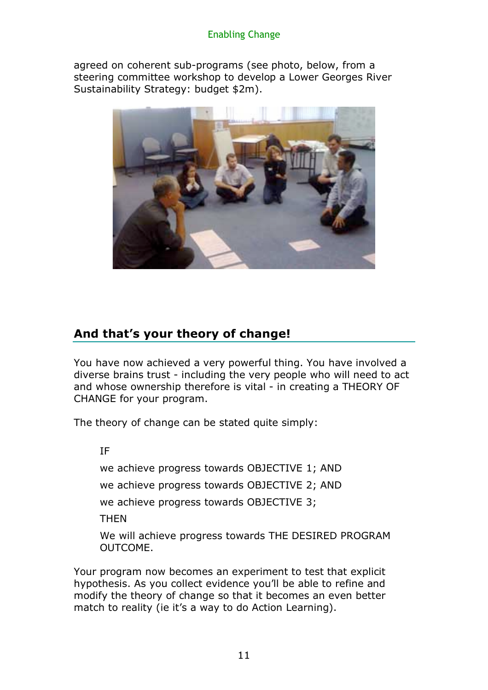agreed on coherent sub-programs (see photo, below, from a steering committee workshop to develop a Lower Georges River Sustainability Strategy: budget \$2m).



## **And that's your theory of change!**

You have now achieved a very powerful thing. You have involved a diverse brains trust - including the very people who will need to act and whose ownership therefore is vital - in creating a THEORY OF CHANGE for your program.

The theory of change can be stated quite simply:

IF

we achieve progress towards OBJECTIVE 1; AND

we achieve progress towards OBJECTIVE 2; AND

we achieve progress towards OBJECTIVE 3;

**THFN** 

We will achieve progress towards THE DESIRED PROGRAM OUTCOME.

Your program now becomes an experiment to test that explicit hypothesis. As you collect evidence you'll be able to refine and modify the theory of change so that it becomes an even better match to reality (ie it's a way to do Action Learning).